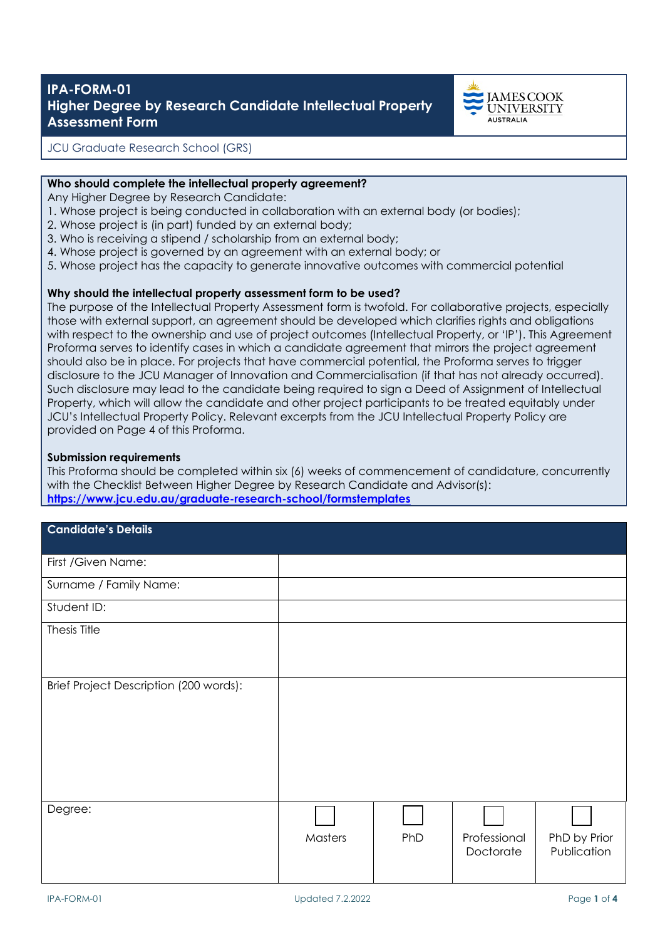# **IPA-FORM-01 Higher Degree by Research Candidate Intellectual Property Assessment Form**



JCU Graduate Research School (GRS)

#### **Who should complete the intellectual property agreement?**

Any Higher Degree by Research Candidate:

- 1. Whose project is being conducted in collaboration with an external body (or bodies);
- 2. Whose project is (in part) funded by an external body;
- 3. Who is receiving a stipend / scholarship from an external body;
- 4. Whose project is governed by an agreement with an external body; or
- 5. Whose project has the capacity to generate innovative outcomes with commercial potential

### **Why should the intellectual property assessment form to be used?**

The purpose of the Intellectual Property Assessment form is twofold. For collaborative projects, especially those with external support, an agreement should be developed which clarifies rights and obligations with respect to the ownership and use of project outcomes (Intellectual Property, or 'IP'). This Agreement Proforma serves to identify cases in which a candidate agreement that mirrors the project agreement should also be in place. For projects that have commercial potential, the Proforma serves to trigger disclosure to the JCU Manager of Innovation and Commercialisation (if that has not already occurred). Such disclosure may lead to the candidate being required to sign a Deed of Assignment of Intellectual Property, which will allow the candidate and other project participants to be treated equitably under JCU's Intellectual Property Policy. Relevant excerpts from the JCU Intellectual Property Policy are provided on Page 4 of this Proforma.

#### **Submission requirements**

This Proforma should be completed within six (6) weeks of commencement of candidature, concurrently with the Checklist Between Higher Degree by Research Candidate and Advisor(s): **<https://www.jcu.edu.au/graduate-research-school/formstemplates>**

| <b>Candidate's Details</b>             |         |     |                           |                             |
|----------------------------------------|---------|-----|---------------------------|-----------------------------|
| First / Given Name:                    |         |     |                           |                             |
| Surname / Family Name:                 |         |     |                           |                             |
| Student ID:                            |         |     |                           |                             |
| Thesis Title                           |         |     |                           |                             |
| Brief Project Description (200 words): |         |     |                           |                             |
| Degree:                                | Masters | PhD | Professional<br>Doctorate | PhD by Prior<br>Publication |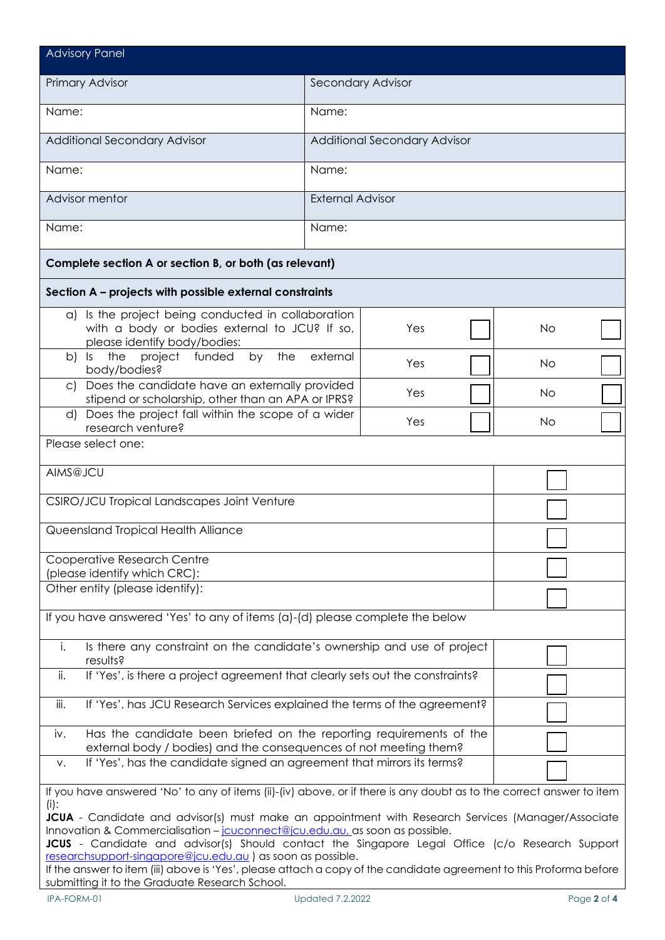| <b>Advisory Panel</b>                                                                                                                                                              |                                                                                                                     |  |  |  |  |
|------------------------------------------------------------------------------------------------------------------------------------------------------------------------------------|---------------------------------------------------------------------------------------------------------------------|--|--|--|--|
| Primary Advisor                                                                                                                                                                    | Secondary Advisor                                                                                                   |  |  |  |  |
| Name:                                                                                                                                                                              | Name:                                                                                                               |  |  |  |  |
| <b>Additional Secondary Advisor</b>                                                                                                                                                | <b>Additional Secondary Advisor</b>                                                                                 |  |  |  |  |
| Name:                                                                                                                                                                              | Name:                                                                                                               |  |  |  |  |
| Advisor mentor                                                                                                                                                                     | <b>External Advisor</b>                                                                                             |  |  |  |  |
| Name:                                                                                                                                                                              | Name:                                                                                                               |  |  |  |  |
| Complete section A or section B, or both (as relevant)                                                                                                                             |                                                                                                                     |  |  |  |  |
| Section A - projects with possible external constraints                                                                                                                            |                                                                                                                     |  |  |  |  |
| a) Is the project being conducted in collaboration<br>with a body or bodies external to JCU? If so,<br>please identify body/bodies:                                                | Yes<br><b>No</b>                                                                                                    |  |  |  |  |
| by the<br>b)<br>$ s -$<br>the<br>project funded<br>body/bodies?                                                                                                                    | external<br>Yes<br><b>No</b>                                                                                        |  |  |  |  |
| c) Does the candidate have an externally provided<br>stipend or scholarship, other than an APA or IPRS?                                                                            | Yes<br><b>No</b>                                                                                                    |  |  |  |  |
| Does the project fall within the scope of a wider<br>d)<br>research venture?                                                                                                       | Yes<br>No                                                                                                           |  |  |  |  |
| Please select one:                                                                                                                                                                 |                                                                                                                     |  |  |  |  |
| AIMS@JCU                                                                                                                                                                           |                                                                                                                     |  |  |  |  |
| CSIRO/JCU Tropical Landscapes Joint Venture                                                                                                                                        |                                                                                                                     |  |  |  |  |
| Queensland Tropical Health Alliance                                                                                                                                                |                                                                                                                     |  |  |  |  |
| Cooperative Research Centre<br>(please identify which CRC):                                                                                                                        |                                                                                                                     |  |  |  |  |
| Other entity (please identify):                                                                                                                                                    |                                                                                                                     |  |  |  |  |
| If you have answered 'Yes' to any of items (a)-(d) please complete the below                                                                                                       |                                                                                                                     |  |  |  |  |
| Is there any constraint on the candidate's ownership and use of project<br>i.<br>results?                                                                                          |                                                                                                                     |  |  |  |  |
| If 'Yes', is there a project agreement that clearly sets out the constraints?<br>ii.                                                                                               |                                                                                                                     |  |  |  |  |
| If 'Yes', has JCU Research Services explained the terms of the agreement?<br>iii.                                                                                                  |                                                                                                                     |  |  |  |  |
| Has the candidate been briefed on the reporting requirements of the<br>iv.<br>external body / bodies) and the consequences of not meeting them?                                    |                                                                                                                     |  |  |  |  |
| If 'Yes', has the candidate signed an agreement that mirrors its terms?<br>V.                                                                                                      |                                                                                                                     |  |  |  |  |
| If you have answered 'No' to any of items (ii)-(iv) above, or if there is any doubt as to the correct answer to item<br>$(i)$ :                                                    |                                                                                                                     |  |  |  |  |
| JCUA - Candidate and advisor(s) must make an appointment with Research Services (Manager/Associate<br>Innovation & Commercialisation - jouconnect@jou.edu.au, as soon as possible. |                                                                                                                     |  |  |  |  |
| JCUS - Candidate and advisor(s) Should contact the Singapore Legal Office (c/o Research Support<br>researchsupport-singapore@jcu.edu.au ) as soon as possible.                     |                                                                                                                     |  |  |  |  |
| submitting it to the Graduate Research School.                                                                                                                                     | If the answer to item (iii) above is 'Yes', please attach a copy of the candidate agreement to this Proforma before |  |  |  |  |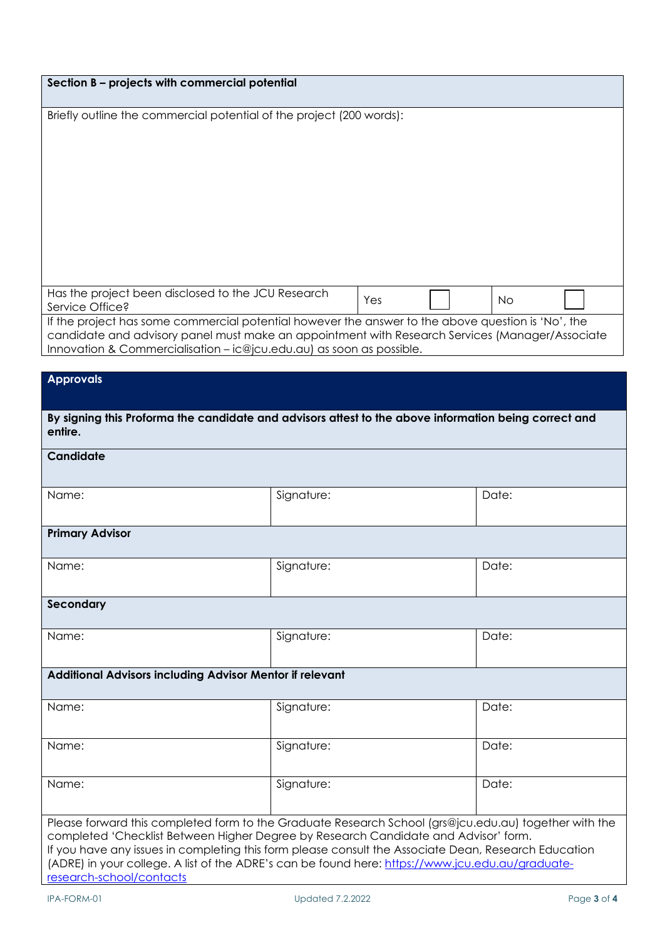| Section B - projects with commercial potential                                                                                                                                                                                                                                |            |           |  |  |  |
|-------------------------------------------------------------------------------------------------------------------------------------------------------------------------------------------------------------------------------------------------------------------------------|------------|-----------|--|--|--|
|                                                                                                                                                                                                                                                                               |            |           |  |  |  |
| Briefly outline the commercial potential of the project (200 words):                                                                                                                                                                                                          |            |           |  |  |  |
| Has the project been disclosed to the JCU Research                                                                                                                                                                                                                            |            |           |  |  |  |
| Service Office?                                                                                                                                                                                                                                                               | Yes        | <b>No</b> |  |  |  |
| If the project has some commercial potential however the answer to the above question is 'No', the<br>candidate and advisory panel must make an appointment with Research Services (Manager/Associate<br>Innovation & Commercialisation - ic@jcu.edu.au) as soon as possible. |            |           |  |  |  |
|                                                                                                                                                                                                                                                                               |            |           |  |  |  |
| <b>Approvals</b>                                                                                                                                                                                                                                                              |            |           |  |  |  |
| By signing this Proforma the candidate and advisors attest to the above information being correct and<br>entire.                                                                                                                                                              |            |           |  |  |  |
| <b>Candidate</b>                                                                                                                                                                                                                                                              |            |           |  |  |  |
| Name:                                                                                                                                                                                                                                                                         | Signature: | Date:     |  |  |  |
| <b>Primary Advisor</b>                                                                                                                                                                                                                                                        |            |           |  |  |  |
| Name:                                                                                                                                                                                                                                                                         | Signature: | Date:     |  |  |  |
| Secondary                                                                                                                                                                                                                                                                     |            |           |  |  |  |

| Name:                                                                                                                                                                                                                                                                                                                                                                                                                                | Signature: | Date: |  |  |  |
|--------------------------------------------------------------------------------------------------------------------------------------------------------------------------------------------------------------------------------------------------------------------------------------------------------------------------------------------------------------------------------------------------------------------------------------|------------|-------|--|--|--|
| Additional Advisors including Advisor Mentor if relevant                                                                                                                                                                                                                                                                                                                                                                             |            |       |  |  |  |
| Name:                                                                                                                                                                                                                                                                                                                                                                                                                                | Signature: | Date: |  |  |  |
| Name:                                                                                                                                                                                                                                                                                                                                                                                                                                | Signature: | Date: |  |  |  |
| Name:                                                                                                                                                                                                                                                                                                                                                                                                                                | Signature: | Date: |  |  |  |
| Please forward this completed form to the Graduate Research School (grs@jcu.edu.au) together with the<br>completed 'Checklist Between Higher Degree by Research Candidate and Advisor' form.<br>If you have any issues in completing this form please consult the Associate Dean, Research Education<br>(ADRE) in your college. A list of the ADRE's can be found here: https://www.jcu.edu.au/graduate-<br>research-school/contacts |            |       |  |  |  |